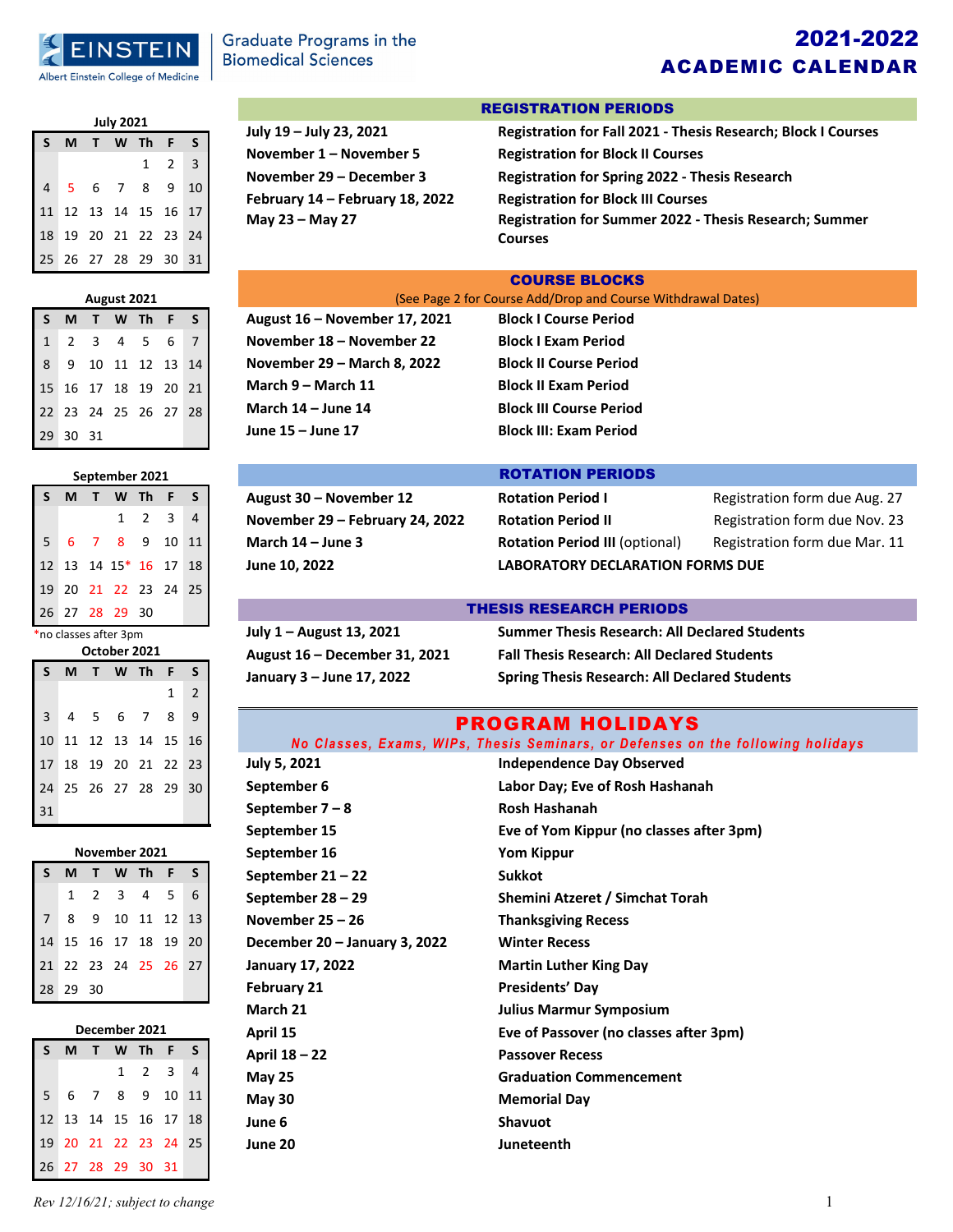

## 2021-2022 ACADEMIC CALENDAR

| <b>July 2021</b>     |  |  |  |                            |                     |  |  |
|----------------------|--|--|--|----------------------------|---------------------|--|--|
| S                    |  |  |  | M T W Th F S               |                     |  |  |
|                      |  |  |  |                            | $1 \quad 2 \quad 3$ |  |  |
| $\overline{4}$       |  |  |  | 5 6 7 8 9 10               |                     |  |  |
|                      |  |  |  | 11 12 13 14 15 16 17       |                     |  |  |
|                      |  |  |  | 18  19  20  21  22  23  24 |                     |  |  |
| 25 26 27 28 29 30 31 |  |  |  |                            |                     |  |  |

# **August 2021 S M T W Th F S**

| 1 2 3 4 5 6 7<br>8 9 10 11 12 13 14 |                      |  |  |
|-------------------------------------|----------------------|--|--|
| 15 16 17 18 19 20 21                |                      |  |  |
|                                     | 22 23 24 25 26 27 28 |  |  |
| 29 30 31                            |                      |  |  |

## **September 2021 S M T W Th F S** 1 2 3 4 5 6 7 8 9 10 11

|  | 12 13 14 15* 16 17 18 |  |  |
|--|-----------------------|--|--|
|  | 19 20 21 22 23 24 25  |  |  |
|  | 26 27 28 29 30        |  |  |

\*no classes after 3pm **October 2021**

| ULLUNEI LULI |     |    |                      |        |   |                |  |
|--------------|-----|----|----------------------|--------|---|----------------|--|
| S            | M . | T. |                      | W Th F |   | S              |  |
|              |     |    |                      |        | 1 | $\overline{2}$ |  |
|              |     |    | 3 4 5 6 7 8 9        |        |   |                |  |
|              |     |    | 10 11 12 13 14 15 16 |        |   |                |  |
|              |     |    | 17 18 19 20 21 22 23 |        |   |                |  |
|              |     |    | 24 25 26 27 28 29 30 |        |   |                |  |
| 31           |     |    |                      |        |   |                |  |

### **November 2021**

|                      |  | S M T W Th F S                            |  |
|----------------------|--|-------------------------------------------|--|
|                      |  | 1 2 3 4 5 6                               |  |
|                      |  | 7 8 9 10 11 12 13<br>14 15 16 17 18 19 20 |  |
|                      |  |                                           |  |
| 21 22 23 24 25 26 27 |  |                                           |  |
| 28 29 30             |  |                                           |  |

| December 2021 |  |  |  |                             |  |   |  |  |
|---------------|--|--|--|-----------------------------|--|---|--|--|
| S.            |  |  |  | M T W Th F                  |  | S |  |  |
|               |  |  |  | $1 \quad 2 \quad 3 \quad 4$ |  |   |  |  |
|               |  |  |  | 5 6 7 8 9 10 11             |  |   |  |  |
|               |  |  |  | 12 13 14 15 16 17 18        |  |   |  |  |

**May 23 – May 27** 

## **July 19 – July 23, 2021 Registration for Fall 2021 ‐ Thesis Research; Block I Courses November 1 – November 5 November 29 – December 3 February 14 – February 18, 2022**

### REGISTRATION PERIODS

| Registration for Fall 2021 - Thesis Research; Block I Courses |
|---------------------------------------------------------------|
| <b>Registration for Block II Courses</b>                      |
| <b>Registration for Spring 2022 - Thesis Research</b>         |
| <b>Registration for Block III Courses</b>                     |
| <b>Registration for Summer 2022 - Thesis Research; Summer</b> |
| <b>Courses</b>                                                |

#### COURSE BLOCKS

(See Page 2 for Course Add/Drop and Course Withdrawal Dates)

**August 16 – November 17, 2021 Block I Course Period November 18 – November 22 Block I Exam Period November 29 – March 8, 2022 Block II Course Period March 9 – March 11 Block II Exam Period March 14 – June 14 Block III Course Period June 15 – June 17 Block III: Exam Period**

**August 30 – November 12 November 29 – February 24, 2022 March 14** – **June 3 June 10, 2022** 

#### ROTATION PERIODS

| <b>Rotation Period I</b>                | Registration form due Aug. 27 |  |  |  |  |
|-----------------------------------------|-------------------------------|--|--|--|--|
| <b>Rotation Period II</b>               | Registration form due Nov. 23 |  |  |  |  |
| <b>Rotation Period III (optional)</b>   | Registration form due Mar. 11 |  |  |  |  |
| <b>LABORATORY DECLARATION FORMS DUE</b> |                               |  |  |  |  |

### THESIS RESEARCH PERIODS

**July 1 – August 13, 2021 Summer Thesis Research: All Declared Students August 16 – December 31, 2021 Fall Thesis Research: All Declared Students January 3 – June 17, 2022 Spring Thesis Research: All Declared Students**

### PROGRAM HOLIDAYS

|              | No Classes, Exams, WIPs, Thesis Seminars, or Defenses on the following holidays |
|--------------|---------------------------------------------------------------------------------|
| July 5, 2021 | <b>Independence Day Observed</b>                                                |

| September 6                   | Labor Day; Eve of Rosh Hashanah          |
|-------------------------------|------------------------------------------|
| September $7 - 8$             | Rosh Hashanah                            |
| September 15                  | Eve of Yom Kippur (no classes after 3pm) |
| September 16                  | <b>Yom Kippur</b>                        |
| September $21 - 22$           | <b>Sukkot</b>                            |
| September 28 - 29             | Shemini Atzeret / Simchat Torah          |
| November $25 - 26$            | <b>Thanksgiving Recess</b>               |
| December 20 – January 3, 2022 | <b>Winter Recess</b>                     |
| <b>January 17, 2022</b>       | <b>Martin Luther King Day</b>            |
| <b>February 21</b>            | <b>Presidents' Day</b>                   |
| March 21                      | <b>Julius Marmur Symposium</b>           |
| April 15                      | Eve of Passover (no classes after 3pm)   |
| April 18 - 22                 | <b>Passover Recess</b>                   |
| <b>May 25</b>                 | <b>Graduation Commencement</b>           |
| May $30$                      | <b>Memorial Day</b>                      |
| June 6                        | <b>Shavuot</b>                           |
| June 20                       | Juneteenth                               |
|                               |                                          |

### *Rev 12/16/21; subject to change* 1

19 20 21 22 23 24 25 26 27 28 29 30 31